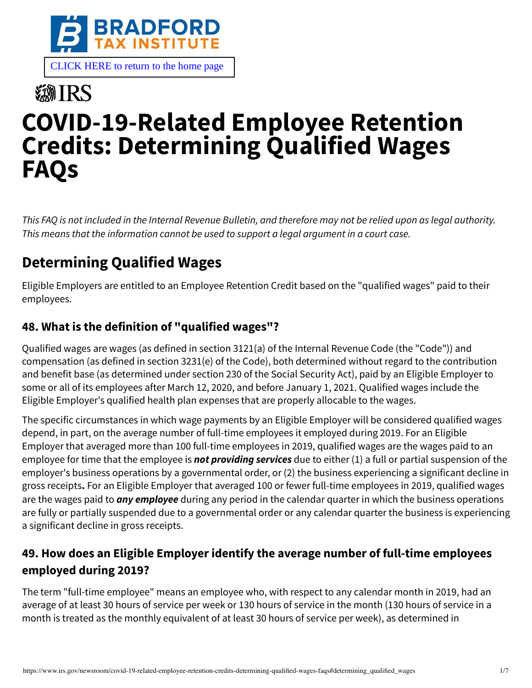

# **数IRS COVID-19-Related Employee Retention Credits: Determining Qualified Wages FAQs**

This FAQ is not included in the Internal Revenue Bulletin, and therefore may not be relied upon as legal authority. This means that the information cannot be used to support a legal argument in a court case.

# **Determining Qualified Wages**

Eligible Employers are entitled to an Employee Retention Credit based on the "qualified wages" paid to their employees.

#### **48. What is the definition of "qualified wages"?**

Qualified wages are wages (as defined in section 3121(a) of the Internal Revenue Code (the "Code")) and compensation (as defined in section 3231(e) of the Code), both determined without regard to the contribution and benefit base (as determined under section 230 of the Social Security Act), paid by an Eligible Employer to some or all of its employees after March 12, 2020, and before January 1, 2021. Qualified wages include the Eligible Employer's qualified health plan expenses that are properly allocable to the wages.

The specific circumstances in which wage payments by an Eligible Employer will be considered qualified wages depend, in part, on the average number of full-time employees it employed during 2019. For an Eligible Employer that averaged more than 100 full-time employees in 2019, qualified wages are the wages paid to an employee for time that the employee is **not providing services** due to either (1) a full or partial suspension of the employer's business operations by a governmental order, or (2) the business experiencing a significant decline in gross receipts**.** For an Eligible Employer that averaged 100 or fewer full-time employees in 2019, qualified wages are the wages paid to **any employee** during any period in the calendar quarter in which the business operations are fully or partially suspended due to a governmental order or any calendar quarter the business is experiencing a significant decline in gross receipts.

#### **49. How does an Eligible Employer identify the average number of full-time employees employed during 2019?**

The term "full-time employee" means an employee who, with respect to any calendar month in 2019, had an average of at least 30 hours of service per week or 130 hours of service in the month (130 hours of service in a month is treated as the monthly equivalent of at least 30 hours of service per week), as determined in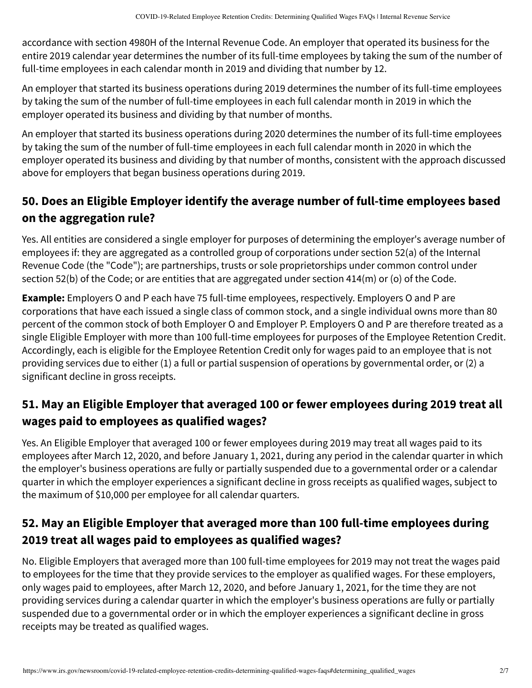accordance with section 4980H of the Internal Revenue Code. An employer that operated its business for the entire 2019 calendar year determines the number of its full-time employees by taking the sum of the number of full-time employees in each calendar month in 2019 and dividing that number by 12.

An employer that started its business operations during 2019 determines the number of its full-time employees by taking the sum of the number of full-time employees in each full calendar month in 2019 in which the employer operated its business and dividing by that number of months.

An employer that started its business operations during 2020 determines the number of its full-time employees by taking the sum of the number of full-time employees in each full calendar month in 2020 in which the employer operated its business and dividing by that number of months, consistent with the approach discussed above for employers that began business operations during 2019.

#### **50. Does an Eligible Employer identify the average number of full-time employees based on the aggregation rule?**

Yes. All entities are considered a single employer for purposes of determining the employer's average number of employees if: they are aggregated as a controlled group of corporations under section 52(a) of the Internal Revenue Code (the "Code"); are partnerships, trusts or sole proprietorships under common control under section 52(b) of the Code; or are entities that are aggregated under section 414(m) or (o) of the Code.

**Example:** Employers O and P each have 75 full-time employees, respectively. Employers O and P are corporations that have each issued a single class of common stock, and a single individual owns more than 80 percent of the common stock of both Employer O and Employer P. Employers O and P are therefore treated as a single Eligible Employer with more than 100 full-time employees for purposes of the Employee Retention Credit. Accordingly, each is eligible for the Employee Retention Credit only for wages paid to an employee that is not providing services due to either (1) a full or partial suspension of operations by governmental order, or (2) a significant decline in gross receipts.

## **51. May an Eligible Employer that averaged 100 or fewer employees during 2019 treat all wages paid to employees as qualified wages?**

Yes. An Eligible Employer that averaged 100 or fewer employees during 2019 may treat all wages paid to its employees after March 12, 2020, and before January 1, 2021, during any period in the calendar quarter in which the employer's business operations are fully or partially suspended due to a governmental order or a calendar quarter in which the employer experiences a significant decline in gross receipts as qualified wages, subject to the maximum of \$10,000 per employee for all calendar quarters.

## **52. May an Eligible Employer that averaged more than 100 full-time employees during 2019 treat all wages paid to employees as qualified wages?**

No. Eligible Employers that averaged more than 100 full-time employees for 2019 may not treat the wages paid to employees for the time that they provide services to the employer as qualified wages. For these employers, only wages paid to employees, after March 12, 2020, and before January 1, 2021, for the time they are not providing services during a calendar quarter in which the employer's business operations are fully or partially suspended due to a governmental order or in which the employer experiences a significant decline in gross receipts may be treated as qualified wages.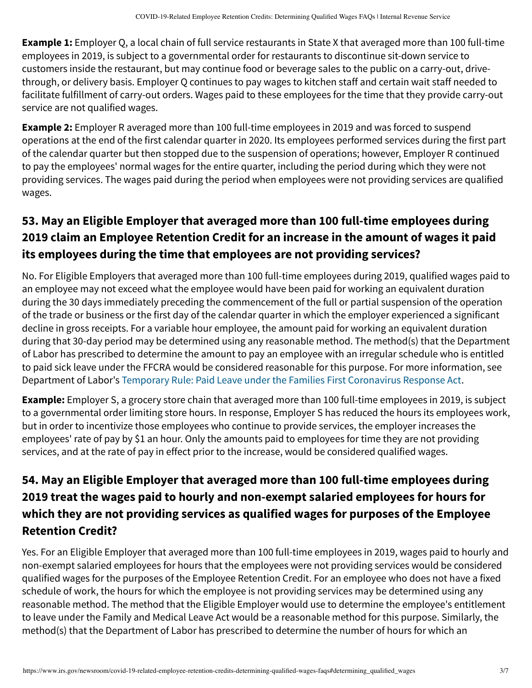**Example 1:** Employer Q, a local chain of full service restaurants in State X that averaged more than 100 full-time employees in 2019, is subject to a governmental order for restaurants to discontinue sit-down service to customers inside the restaurant, but may continue food or beverage sales to the public on a carry-out, drivethrough, or delivery basis. Employer Q continues to pay wages to kitchen staff and certain wait staff needed to facilitate fulfillment of carry-out orders. Wages paid to these employees for the time that they provide carry-out service are not qualified wages.

**Example 2:** Employer R averaged more than 100 full-time employees in 2019 and was forced to suspend operations at the end of the first calendar quarter in 2020. Its employees performed services during the first part of the calendar quarter but then stopped due to the suspension of operations; however, Employer R continued to pay the employees' normal wages for the entire quarter, including the period during which they were not providing services. The wages paid during the period when employees were not providing services are qualified wages.

# **53. May an Eligible Employer that averaged more than 100 full-time employees during 2019 claim an Employee Retention Credit for an increase in the amount of wages it paid its employees during the time that employees are not providing services?**

No. For Eligible Employers that averaged more than 100 full-time employees during 2019, qualified wages paid to an employee may not exceed what the employee would have been paid for working an equivalent duration during the 30 days immediately preceding the commencement of the full or partial suspension of the operation of the trade or business or the first day of the calendar quarter in which the employer experienced a significant decline in gross receipts. For a variable hour employee, the amount paid for working an equivalent duration during that 30-day period may be determined using any reasonable method. The method(s) that the Department of Labor has prescribed to determine the amount to pay an employee with an irregular schedule who is entitled to paid sick leave under the FFCRA would be considered reasonable for this purpose. For more information, see Department of Labor's [Temporary Rule: Paid Leave under the Families First Coronavirus Response Act.](https://www.dol.gov/agencies/whd/ffcra)

**Example:** Employer S, a grocery store chain that averaged more than 100 full-time employees in 2019, is subject to a governmental order limiting store hours. In response, Employer S has reduced the hours its employees work, but in order to incentivize those employees who continue to provide services, the employer increases the employees' rate of pay by \$1 an hour. Only the amounts paid to employees for time they are not providing services, and at the rate of pay in effect prior to the increase, would be considered qualified wages.

#### **54. May an Eligible Employer that averaged more than 100 full-time employees during 2019 treat the wages paid to hourly and non-exempt salaried employees for hours for which they are not providing services as qualified wages for purposes of the Employee Retention Credit?**

Yes. For an Eligible Employer that averaged more than 100 full-time employees in 2019, wages paid to hourly and non-exempt salaried employees for hours that the employees were not providing services would be considered qualified wages for the purposes of the Employee Retention Credit. For an employee who does not have a fixed schedule of work, the hours for which the employee is not providing services may be determined using any reasonable method. The method that the Eligible Employer would use to determine the employee's entitlement to leave under the Family and Medical Leave Act would be a reasonable method for this purpose. Similarly, the method(s) that the Department of Labor has prescribed to determine the number of hours for which an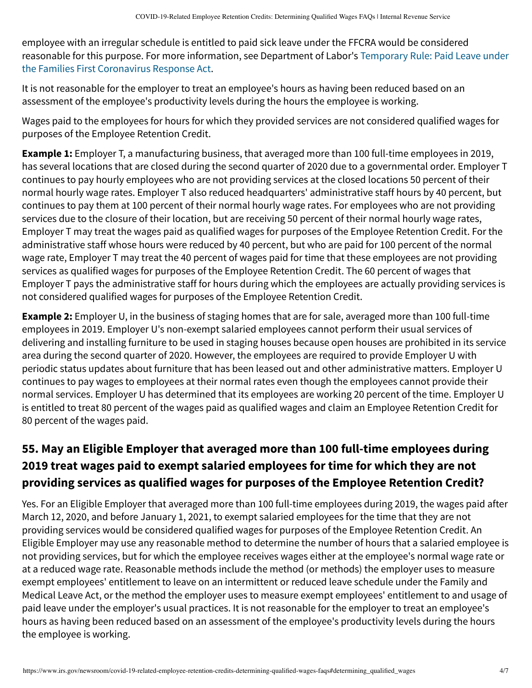employee with an irregular schedule is entitled to paid sick leave under the FFCRA would be considered [reasonable for this purpose. For more information, see Department of Labor's Temporary Rule: Paid Leave under](https://www.dol.gov/agencies/whd/ffcra) the Families First Coronavirus Response Act.

It is not reasonable for the employer to treat an employee's hours as having been reduced based on an assessment of the employee's productivity levels during the hours the employee is working.

Wages paid to the employees for hours for which they provided services are not considered qualified wages for purposes of the Employee Retention Credit.

**Example 1:** Employer T, a manufacturing business, that averaged more than 100 full-time employees in 2019, has several locations that are closed during the second quarter of 2020 due to a governmental order. Employer T continues to pay hourly employees who are not providing services at the closed locations 50 percent of their normal hourly wage rates. Employer T also reduced headquarters' administrative staff hours by 40 percent, but continues to pay them at 100 percent of their normal hourly wage rates. For employees who are not providing services due to the closure of their location, but are receiving 50 percent of their normal hourly wage rates, Employer T may treat the wages paid as qualified wages for purposes of the Employee Retention Credit. For the administrative staff whose hours were reduced by 40 percent, but who are paid for 100 percent of the normal wage rate, Employer T may treat the 40 percent of wages paid for time that these employees are not providing services as qualified wages for purposes of the Employee Retention Credit. The 60 percent of wages that Employer T pays the administrative staff for hours during which the employees are actually providing services is not considered qualified wages for purposes of the Employee Retention Credit.

**Example 2:** Employer U, in the business of staging homes that are for sale, averaged more than 100 full-time employees in 2019. Employer U's non-exempt salaried employees cannot perform their usual services of delivering and installing furniture to be used in staging houses because open houses are prohibited in its service area during the second quarter of 2020. However, the employees are required to provide Employer U with periodic status updates about furniture that has been leased out and other administrative matters. Employer U continues to pay wages to employees at their normal rates even though the employees cannot provide their normal services. Employer U has determined that its employees are working 20 percent of the time. Employer U is entitled to treat 80 percent of the wages paid as qualified wages and claim an Employee Retention Credit for 80 percent of the wages paid.

# **55. May an Eligible Employer that averaged more than 100 full-time employees during 2019 treat wages paid to exempt salaried employees for time for which they are not providing services as qualified wages for purposes of the Employee Retention Credit?**

Yes. For an Eligible Employer that averaged more than 100 full-time employees during 2019, the wages paid after March 12, 2020, and before January 1, 2021, to exempt salaried employees for the time that they are not providing services would be considered qualified wages for purposes of the Employee Retention Credit. An Eligible Employer may use any reasonable method to determine the number of hours that a salaried employee is not providing services, but for which the employee receives wages either at the employee's normal wage rate or at a reduced wage rate. Reasonable methods include the method (or methods) the employer uses to measure exempt employees' entitlement to leave on an intermittent or reduced leave schedule under the Family and Medical Leave Act, or the method the employer uses to measure exempt employees' entitlement to and usage of paid leave under the employer's usual practices. It is not reasonable for the employer to treat an employee's hours as having been reduced based on an assessment of the employee's productivity levels during the hours the employee is working.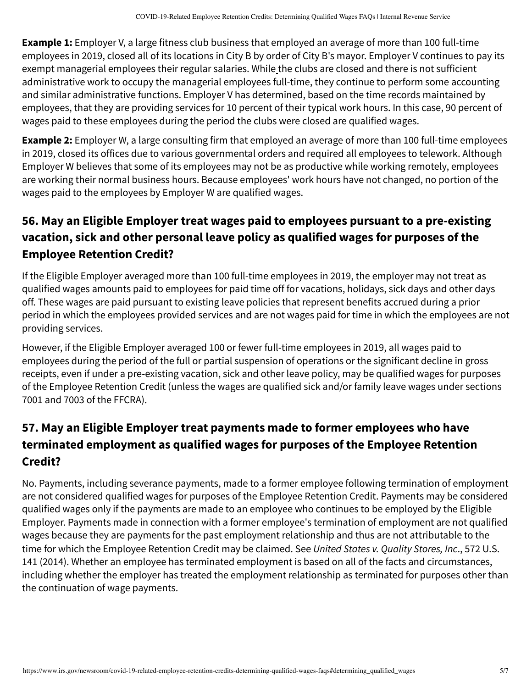**Example 1:** Employer V, a large fitness club business that employed an average of more than 100 full-time employees in 2019, closed all of its locations in City B by order of City B's mayor. Employer V continues to pay its exempt managerial employees their regular salaries. While the clubs are closed and there is not sufficient administrative work to occupy the managerial employees full-time, they continue to perform some accounting and similar administrative functions. Employer V has determined, based on the time records maintained by employees, that they are providing services for 10 percent of their typical work hours. In this case, 90 percent of wages paid to these employees during the period the clubs were closed are qualified wages.

**Example 2:** Employer W, a large consulting firm that employed an average of more than 100 full-time employees in 2019, closed its offices due to various governmental orders and required all employees to telework. Although Employer W believes that some of its employees may not be as productive while working remotely, employees are working their normal business hours. Because employees' work hours have not changed, no portion of the wages paid to the employees by Employer W are qualified wages.

#### **56. May an Eligible Employer treat wages paid to employees pursuant to a pre-existing vacation, sick and other personal leave policy as qualified wages for purposes of the Employee Retention Credit?**

If the Eligible Employer averaged more than 100 full-time employees in 2019, the employer may not treat as qualified wages amounts paid to employees for paid time off for vacations, holidays, sick days and other days off. These wages are paid pursuant to existing leave policies that represent benefits accrued during a prior period in which the employees provided services and are not wages paid for time in which the employees are not providing services.

However, if the Eligible Employer averaged 100 or fewer full-time employees in 2019, all wages paid to employees during the period of the full or partial suspension of operations or the significant decline in gross receipts, even if under a pre-existing vacation, sick and other leave policy, may be qualified wages for purposes of the Employee Retention Credit (unless the wages are qualified sick and/or family leave wages under sections 7001 and 7003 of the FFCRA).

#### **57. May an Eligible Employer treat payments made to former employees who have terminated employment as qualified wages for purposes of the Employee Retention Credit?**

No. Payments, including severance payments, made to a former employee following termination of employment are not considered qualified wages for purposes of the Employee Retention Credit. Payments may be considered qualified wages only if the payments are made to an employee who continues to be employed by the Eligible Employer. Payments made in connection with a former employee's termination of employment are not qualified wages because they are payments for the past employment relationship and thus are not attributable to the time for which the Employee Retention Credit may be claimed. See United States v. Quality Stores, Inc., 572 U.S. 141 (2014). Whether an employee has terminated employment is based on all of the facts and circumstances, including whether the employer has treated the employment relationship as terminated for purposes other than the continuation of wage payments.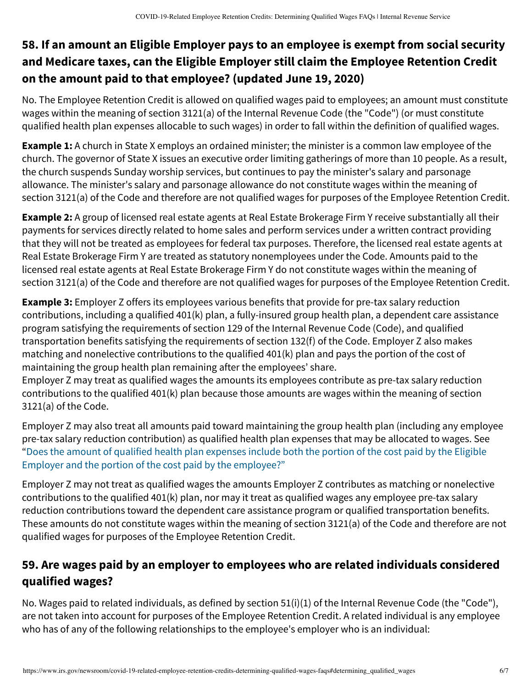#### **58. If an amount an Eligible Employer pays to an employee is exempt from social security and Medicare taxes, can the Eligible Employer still claim the Employee Retention Credit on the amount paid to that employee? (updated June 19, 2020)**

No. The Employee Retention Credit is allowed on qualified wages paid to employees; an amount must constitute wages within the meaning of section 3121(a) of the Internal Revenue Code (the "Code") (or must constitute qualified health plan expenses allocable to such wages) in order to fall within the definition of qualified wages.

**Example 1:** A church in State X employs an ordained minister; the minister is a common law employee of the church. The governor of State X issues an executive order limiting gatherings of more than 10 people. As a result, the church suspends Sunday worship services, but continues to pay the minister's salary and parsonage allowance. The minister's salary and parsonage allowance do not constitute wages within the meaning of section 3121(a) of the Code and therefore are not qualified wages for purposes of the Employee Retention Credit.

**Example 2:** A group of licensed real estate agents at Real Estate Brokerage Firm Y receive substantially all their payments for services directly related to home sales and perform services under a written contract providing that they will not be treated as employees for federal tax purposes. Therefore, the licensed real estate agents at Real Estate Brokerage Firm Y are treated as statutory nonemployees under the Code. Amounts paid to the licensed real estate agents at Real Estate Brokerage Firm Y do not constitute wages within the meaning of section 3121(a) of the Code and therefore are not qualified wages for purposes of the Employee Retention Credit.

**Example 3:** Employer Z offers its employees various benefits that provide for pre-tax salary reduction contributions, including a qualified 401(k) plan, a fully-insured group health plan, a dependent care assistance program satisfying the requirements of section 129 of the Internal Revenue Code (Code), and qualified transportation benefits satisfying the requirements of section 132(f) of the Code. Employer Z also makes matching and nonelective contributions to the qualified 401(k) plan and pays the portion of the cost of maintaining the group health plan remaining after the employees' share.

Employer Z may treat as qualified wages the amounts its employees contribute as pre-tax salary reduction contributions to the qualified 401(k) plan because those amounts are wages within the meaning of section 3121(a) of the Code.

Employer Z may also treat all amounts paid toward maintaining the group health plan (including any employee pre-tax salary reduction contribution) as qualified health plan expenses that may be allocated to wages. See ["Does the amount of qualified health plan expenses include both the portion of the cost paid by the Eligible](https://www.irs.gov/node/78126#63) Employer and the portion of the cost paid by the employee?"

Employer Z may not treat as qualified wages the amounts Employer Z contributes as matching or nonelective contributions to the qualified 401(k) plan, nor may it treat as qualified wages any employee pre-tax salary reduction contributions toward the dependent care assistance program or qualified transportation benefits. These amounts do not constitute wages within the meaning of section 3121(a) of the Code and therefore are not qualified wages for purposes of the Employee Retention Credit.

## **59. Are wages paid by an employer to employees who are related individuals considered qualified wages?**

No. Wages paid to related individuals, as defined by section 51(i)(1) of the Internal Revenue Code (the "Code"), are not taken into account for purposes of the Employee Retention Credit. A related individual is any employee who has of any of the following relationships to the employee's employer who is an individual: